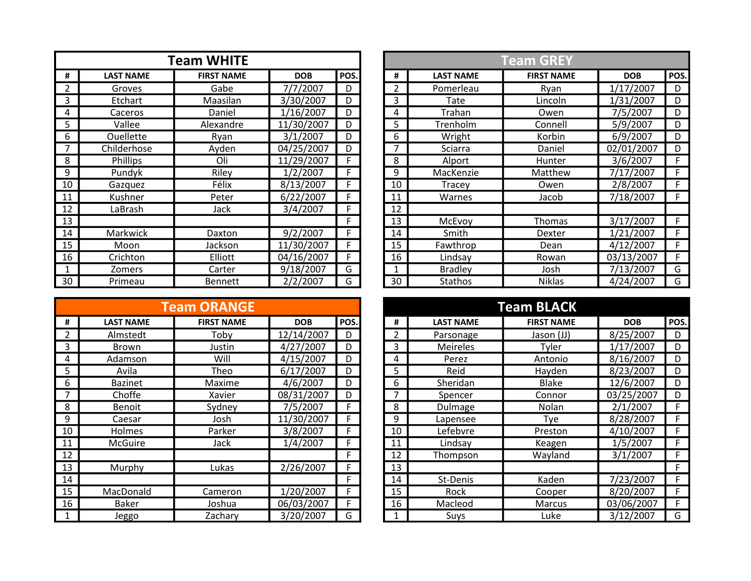|                |                  | <b>Team WHITE</b> |            |      |                 |
|----------------|------------------|-------------------|------------|------|-----------------|
| #              | <b>LAST NAME</b> | <b>FIRST NAME</b> | <b>DOB</b> | POS. | #               |
| $\overline{2}$ | Groves           | Gabe              | 7/7/2007   | D    | $\overline{2}$  |
| 3              | Etchart          | Maasilan          | 3/30/2007  | D    | 3               |
| 4              | Caceros          | Daniel            | 1/16/2007  | D    | 4               |
| 5              | Vallee           | Alexandre         | 11/30/2007 | D    | 5               |
| 6              | <b>Ouellette</b> | Ryan              | 3/1/2007   | D    | 6               |
| 7              | Childerhose      | Ayden             | 04/25/2007 | D    | $\overline{7}$  |
| 8              | Phillips         | Oli               | 11/29/2007 | F    | 8               |
| 9              | Pundyk           | Riley             | 1/2/2007   | F    | 9               |
| 10             | Gazquez          | Félix             | 8/13/2007  | F    | 10              |
| 11             | Kushner          | Peter             | 6/22/2007  | F    | 11              |
| 12             | LaBrash          | Jack              | 3/4/2007   | F    | 12              |
| 13             |                  |                   |            | F    | $\overline{13}$ |
| 14             | <b>Markwick</b>  | Daxton            | 9/2/2007   | F    | 14              |
| 15             | Moon             | Jackson           | 11/30/2007 | F    | 15              |
| 16             | Crichton         | Elliott           | 04/16/2007 | F    | 16              |
| 1              | Zomers           | Carter            | 9/18/2007  | G    | 1               |
| 30             | Primeau          | <b>Bennett</b>    | 2/2/2007   | G    | $\overline{30}$ |

|    |                  | <b>Team ORANGE</b> |            |      |    |                  | <b>Team BLACK</b> |
|----|------------------|--------------------|------------|------|----|------------------|-------------------|
| #  | <b>LAST NAME</b> | <b>FIRST NAME</b>  | <b>DOB</b> | POS. | #  | <b>LAST NAME</b> | <b>FIRST NAME</b> |
| 2  | Almstedt         | Tobv               | 12/14/2007 | D    | 2  | Parsonage        | Jason (JJ)        |
| 3  | <b>Brown</b>     | Justin             | 4/27/2007  | D    | 3  | <b>Meireles</b>  | Tyler             |
| 4  | Adamson          | Will               | 4/15/2007  | D    | 4  | Perez            | Antonio           |
| 5. | Avila            | Theo               | 6/17/2007  | D    | 5  | Reid             | Hayden            |
| 6  | <b>Bazinet</b>   | Maxime             | 4/6/2007   | D    | 6  | Sheridan         | <b>Blake</b>      |
| 7  | Choffe           | Xavier             | 08/31/2007 | D    | 7  | Spencer          | Connor            |
| 8  | <b>Benoit</b>    | Sydney             | 7/5/2007   | F    | 8  | Dulmage          | Nolan             |
| 9  | Caesar           | Josh               | 11/30/2007 | F    | 9  | Lapensee         | Tye               |
| 10 | <b>Holmes</b>    | Parker             | 3/8/2007   | F    | 10 | Lefebvre         | Preston           |
| 11 | McGuire          | Jack               | 1/4/2007   | F    | 11 | Lindsay          | <b>Keagen</b>     |
| 12 |                  |                    |            | F    | 12 | Thompson         | Wayland           |
| 13 | Murphy           | Lukas              | 2/26/2007  | F    | 13 |                  |                   |
| 14 |                  |                    |            | F    | 14 | St-Denis         | Kaden             |
| 15 | MacDonald        | Cameron            | 1/20/2007  | F    | 15 | Rock             | Cooper            |
| 16 | <b>Baker</b>     | Joshua             | 06/03/2007 | F    | 16 | Macleod          | Marcus            |
|    | Jeggo            | Zachary            | 3/20/2007  | G    |    | Suys             | Luke              |

|                |                  | <b>Team WHITE</b> |            |      |    |                  | <b>Team GREY</b>  |            |      |
|----------------|------------------|-------------------|------------|------|----|------------------|-------------------|------------|------|
| #              | <b>LAST NAME</b> | <b>FIRST NAME</b> | <b>DOB</b> | POS. | #  | <b>LAST NAME</b> | <b>FIRST NAME</b> | <b>DOB</b> | POS. |
| $\overline{2}$ | Groves           | Gabe              | 7/7/2007   | D    |    | Pomerleau        | Ryan              | 1/17/2007  | D    |
| 3              | Etchart          | Maasilan          | 3/30/2007  | D    | 3  | Tate             | Lincoln           | 1/31/2007  | D    |
| 4              | Caceros          | Daniel            | 1/16/2007  | D    | 4  | Trahan           | Owen              | 7/5/2007   | D    |
| 5              | Vallee           | Alexandre         | 11/30/2007 | D    | 5  | Trenholm         | Connell           | 5/9/2007   | D    |
| 6              | <b>Ouellette</b> | Ryan              | 3/1/2007   | D    | 6  | Wright           | Korbin            | 6/9/2007   | D    |
|                | Childerhose      | Ayden             | 04/25/2007 | D    |    | Sciarra          | Daniel            | 02/01/2007 | D    |
| 8              | Phillips         | Oli               | 11/29/2007 | F    | 8  | Alport           | Hunter            | 3/6/2007   | F    |
| 9              | Pundyk           | Riley             | 1/2/2007   | F    | 9  | MacKenzie        | Matthew           | 7/17/2007  | F    |
| 10             | Gazquez          | Félix             | 8/13/2007  | F    | 10 | Tracey           | Owen              | 2/8/2007   | F    |
| 11             | Kushner          | Peter             | 6/22/2007  | F    | 11 | Warnes           | Jacob             | 7/18/2007  | F    |
| 12             | LaBrash          | Jack              | 3/4/2007   | F    | 12 |                  |                   |            |      |
| 13             |                  |                   |            | F.   | 13 | McEvoy           | Thomas            | 3/17/2007  | F    |
| 14             | Markwick         | Daxton            | 9/2/2007   | F.   | 14 | Smith            | Dexter            | 1/21/2007  | F    |
| 15             | Moon             | Jackson           | 11/30/2007 |      | 15 | Fawthrop         | Dean              | 4/12/2007  | F    |
| 16             | Crichton         | Elliott           | 04/16/2007 | F    | 16 | Lindsay          | Rowan             | 03/13/2007 | F.   |
|                | Zomers           | Carter            | 9/18/2007  | G    |    | <b>Bradley</b>   | Josh              | 7/13/2007  | G    |
| 30             | Primeau          | Bennett           | 2/2/2007   | G    | 30 | <b>Stathos</b>   | <b>Niklas</b>     | 4/24/2007  | G    |

|                |                  | <b>Team ORANGE</b> |            |      |    |                  | <b>Team BLACK</b> |            |      |
|----------------|------------------|--------------------|------------|------|----|------------------|-------------------|------------|------|
| #              | <b>LAST NAME</b> | <b>FIRST NAME</b>  | <b>DOB</b> | POS. | #  | <b>LAST NAME</b> | <b>FIRST NAME</b> | <b>DOB</b> | POS. |
| $\overline{2}$ | Almstedt         | Tobv               | 12/14/2007 | D    | 2  | Parsonage        | Jason (JJ)        | 8/25/2007  | D    |
| 3              | Brown            | Justin             | 4/27/2007  | D    | 3  | <b>Meireles</b>  | Tyler             | 1/17/2007  | D    |
| 4              | Adamson          | Will               | 4/15/2007  | D    | 4  | Perez            | Antonio           | 8/16/2007  | D    |
| 5              | Avila            | Theo               | 6/17/2007  | D    | 5  | Reid             | Hayden            | 8/23/2007  | D    |
| 6              | <b>Bazinet</b>   | Maxime             | 4/6/2007   | D    | 6  | Sheridan         | <b>Blake</b>      | 12/6/2007  | D    |
|                | Choffe           | Xavier             | 08/31/2007 | D    |    | Spencer          | Connor            | 03/25/2007 | D    |
| 8              | Benoit           | Sydney             | 7/5/2007   | F.   | 8  | Dulmage          | <b>Nolan</b>      | 2/1/2007   | F    |
| 9              | Caesar           | Josh               | 11/30/2007 | F.   | 9  | Lapensee         | Tve               | 8/28/2007  | F    |
| 10             | <b>Holmes</b>    | Parker             | 3/8/2007   | F    | 10 | Lefebvre         | Preston           | 4/10/2007  | F    |
| 11             | <b>McGuire</b>   | Jack               | 1/4/2007   | F.   | 11 | Lindsav          | Keagen            | 1/5/2007   | F    |
| 12             |                  |                    |            | F.   | 12 | Thompson         | Wayland           | 3/1/2007   | F    |
| 13             | Murphy           | Lukas              | 2/26/2007  | F.   | 13 |                  |                   |            | F    |
| 14             |                  |                    |            | F.   | 14 | St-Denis         | Kaden             | 7/23/2007  | F    |
| 15             | MacDonald        | Cameron            | 1/20/2007  | F    | 15 | Rock             | Cooper            | 8/20/2007  | F    |
| 16             | Baker            | Joshua             | 06/03/2007 | F    | 16 | Macleod          | <b>Marcus</b>     | 03/06/2007 | F    |
|                | Jeggo            | Zachary            | 3/20/2007  | G    |    | <b>Suys</b>      | Luke              | 3/12/2007  | G    |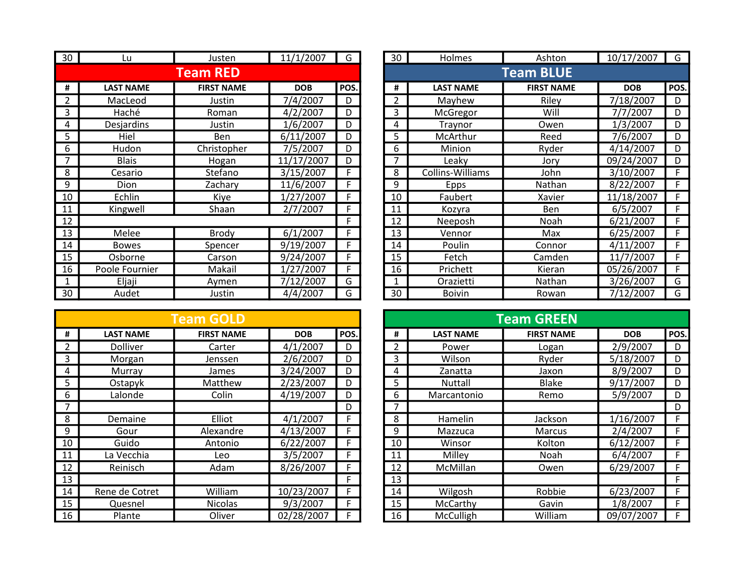| 30 | Lu               | Justen            | 11/1/2007  | G    | 30 | Holmes           | Ashton            | 10/17/2007          | G   |
|----|------------------|-------------------|------------|------|----|------------------|-------------------|---------------------|-----|
|    |                  | <b>Team RED</b>   |            |      |    |                  | <b>Team BLUE</b>  |                     |     |
| #  | <b>LAST NAME</b> | <b>FIRST NAME</b> | <b>DOB</b> | POS. | #  | <b>LAST NAME</b> | <b>FIRST NAME</b> | <b>DOB</b>          | PO: |
|    | MacLeod          | Justin            | 7/4/2007   | D    | 2  | Mayhew           | Riley             | 7/18/2007           | D   |
| 3  | Haché            | Roman             | 4/2/2007   | D    | 3  | McGregor         | Will              | 7/7/2007            | D   |
| 4  | Desjardins       | Justin            | 1/6/2007   | D    | 4  | Traynor          | Owen              | 1/3/2007            | D   |
| 5  | Hiel             | <b>Ben</b>        | 6/11/2007  | D    | 5  | McArthur         | Reed              | 7/6/2007            | D   |
| 6  | Hudon            | Christopher       | 7/5/2007   | D    | 6  | Minion           | Ryder             | 4/14/2007           | D   |
|    | <b>Blais</b>     | Hogan             | 11/17/2007 | D    |    | Leaky            | Jory              | 09/24/2007          | D   |
| 8  | Cesario          | Stefano           | 3/15/2007  | F    | 8  | Collins-Williams | John              | 3/10/2007           |     |
| 9  | Dion             | Zachary           | 11/6/2007  |      | 9  | <b>Epps</b>      | Nathan            | $\sqrt{8}/22/2007$  |     |
| 10 | Echlin           | Kiye              | 1/27/2007  |      | 10 | Faubert          | Xavier            | 11/18/2007          |     |
| 11 | Kingwell         | Shaan             | 2/7/2007   |      | 11 | Kozyra           | Ben               | 6/5/2007            |     |
| 12 |                  |                   |            |      | 12 | Neeposh          | Noah              | 6/21/2007           |     |
| 13 | Melee            | Brody             | 6/1/2007   | F    | 13 | Vennor           | Max               | 6/25/2007           |     |
| 14 | <b>Bowes</b>     | Spencer           | 9/19/2007  | F    | 14 | Poulin           | Connor            | 4/11/2007           |     |
| 15 | Osborne          | Carson            | 9/24/2007  | F    | 15 | Fetch            | Camden            | $\frac{11}{7}/2007$ |     |
| 16 | Poole Fournier   | Makail            | 1/27/2007  | F    | 16 | Prichett         | Kieran            | 05/26/2007          |     |
|    | Eljaji           | Aymen             | 7/12/2007  | G    |    | Orazietti        | Nathan            | 3/26/2007           | G   |
| 30 | Audet            | Justin            | 4/4/2007   | G    | 30 | <b>Boivin</b>    | Rowan             | 7/12/2007           | G   |

|    |                  | <b>Team GOLD</b>  |            |      |
|----|------------------|-------------------|------------|------|
| #  | <b>LAST NAME</b> | <b>FIRST NAME</b> | <b>DOB</b> | POS. |
| 2  | Dolliver         | Carter            | 4/1/2007   | D    |
| 3  | Morgan           | Jenssen           | 2/6/2007   | D    |
| 4  | Murray           | James             | 3/24/2007  | D    |
| 5  | Ostapyk          | Matthew           | 2/23/2007  | D    |
| 6  | Lalonde          | Colin             | 4/19/2007  | D    |
| 7  |                  |                   |            | D    |
| 8  | Demaine          | Elliot            | 4/1/2007   | F    |
| 9  | Gour             | Alexandre         | 4/13/2007  | F    |
| 10 | Guido            | Antonio           | 6/22/2007  | F    |
| 11 | La Vecchia       | Leo               | 3/5/2007   | F    |
| 12 | Reinisch         | Adam              | 8/26/2007  | F    |
| 13 |                  |                   |            | F    |
| 14 | Rene de Cotret   | William           | 10/23/2007 | F    |
| 15 | Quesnel          | Nicolas           | 9/3/2007   | F    |
| 16 | Plante           | Oliver            | 02/28/2007 | F    |

| 30             | Lu               | Justen            | 11/1/2007  | G    | 30               | Holmes           | Ashton            | 10/17/2007 | G    |  |  |
|----------------|------------------|-------------------|------------|------|------------------|------------------|-------------------|------------|------|--|--|
|                |                  | <b>Team RED</b>   |            |      | <b>Team BLUE</b> |                  |                   |            |      |  |  |
| #              | <b>LAST NAME</b> | <b>FIRST NAME</b> | <b>DOB</b> | POS. | #                | <b>LAST NAME</b> | <b>FIRST NAME</b> | <b>DOB</b> | POS. |  |  |
| $\overline{2}$ | MacLeod          | Justin            | 7/4/2007   | D    | 2                | Mayhew           | Riley             | 7/18/2007  | D    |  |  |
| 3              | Haché            | Roman             | 4/2/2007   | D    | 3                | McGregor         | Will              | 7/7/2007   | D    |  |  |
| 4              | Desjardins       | Justin            | 1/6/2007   | D    | 4                | Traynor          | Owen              | 1/3/2007   | D    |  |  |
| 5              | Hiel             | Ben               | 6/11/2007  | D    | 5                | McArthur         | Reed              | 7/6/2007   | D    |  |  |
| 6              | Hudon            | Christopher       | 7/5/2007   | D    | 6                | Minion           | Ryder             | 4/14/2007  | D    |  |  |
| $\overline{7}$ | <b>Blais</b>     | Hogan             | 11/17/2007 | D    | 7                | Leaky            | Jory              | 09/24/2007 | D    |  |  |
| 8              | Cesario          | Stefano           | 3/15/2007  | F    | 8                | Collins-Williams | John              | 3/10/2007  | F    |  |  |
| 9              | Dion             | Zachary           | 11/6/2007  |      | 9                | Epps             | Nathan            | 8/22/2007  | F    |  |  |
| 10             | Echlin           | Kiye              | 1/27/2007  | F.   | 10               | Faubert          | Xavier            | 11/18/2007 | F    |  |  |
| 11             | Kingwell         | Shaan             | 2/7/2007   |      | 11               | Kozyra           | Ben               | 6/5/2007   | F    |  |  |
| 12             |                  |                   |            | F.   | 12               | Neeposh          | Noah              | 6/21/2007  | F    |  |  |
| 13             | Melee            | <b>Brody</b>      | 6/1/2007   | F    | 13               | Vennor           | Max               | 6/25/2007  | F    |  |  |
| 14             | <b>Bowes</b>     | Spencer           | 9/19/2007  | F    | 14               | Poulin           | Connor            | 4/11/2007  | F    |  |  |
| 15             | Osborne          | Carson            | 9/24/2007  | F    | 15               | Fetch            | Camden            | 11/7/2007  | F    |  |  |
| 16             | Poole Fournier   | Makail            | 1/27/2007  |      | 16               | Prichett         | Kieran            | 05/26/2007 | F    |  |  |
|                | Eljaji           | Aymen             | 7/12/2007  | G    |                  | Orazietti        | Nathan            | 3/26/2007  | G    |  |  |
| 30             | Audet            | Justin            | 4/4/2007   | G    | 30               | <b>Boivin</b>    | Rowan             | 7/12/2007  | G    |  |  |

|                |                  | <b>Team GOLD</b>  |            |      |    |                  | <b>Team GREEN</b> |            |      |
|----------------|------------------|-------------------|------------|------|----|------------------|-------------------|------------|------|
| #              | <b>LAST NAME</b> | <b>FIRST NAME</b> | <b>DOB</b> | POS. | #  | <b>LAST NAME</b> | <b>FIRST NAME</b> | <b>DOB</b> | POS. |
| $\overline{2}$ | Dolliver         | Carter            | 4/1/2007   | D    |    | Power            | Logan             | 2/9/2007   | D    |
| 3              | Morgan           | Jenssen           | 2/6/2007   | D    | 3  | Wilson           | Ryder             | 5/18/2007  | D    |
| 4              | Murray           | James             | 3/24/2007  | D    | 4  | Zanatta          | Jaxon             | 8/9/2007   | D    |
| 5              | Ostapyk          | Matthew           | 2/23/2007  | D    | 5  | Nuttall          | <b>Blake</b>      | 9/17/2007  | D    |
| 6              | Lalonde          | Colin             | 4/19/2007  | D    | 6  | Marcantonio      | Remo              | 5/9/2007   | D    |
| $\overline{ }$ |                  |                   |            | D    |    |                  |                   |            | D    |
| 8              | Demaine          | Elliot            | 4/1/2007   | F    | 8  | Hamelin          | Jackson           | 1/16/2007  | F    |
| 9              | Gour             | Alexandre         | 4/13/2007  | F    | 9  | Mazzuca          | <b>Marcus</b>     | 2/4/2007   | F    |
| 10             | Guido            | Antonio           | 6/22/2007  |      | 10 | Winsor           | Kolton            | 6/12/2007  |      |
| 11             | La Vecchia       | Leo               | 3/5/2007   |      | 11 | Milley           | Noah              | 6/4/2007   |      |
| 12             | Reinisch         | Adam              | 8/26/2007  |      | 12 | McMillan         | Owen              | 6/29/2007  |      |
| 13             |                  |                   |            | F.   | 13 |                  |                   |            | F    |
| 14             | Rene de Cotret   | William           | 10/23/2007 |      | 14 | Wilgosh          | Robbie            | 6/23/2007  | F    |
| 15             | Quesnel          | <b>Nicolas</b>    | 9/3/2007   |      | 15 | McCarthy         | Gavin             | 1/8/2007   | F    |
| 16             | Plante           | Oliver            | 02/28/2007 |      | 16 | McCulligh        | William           | 09/07/2007 | F    |